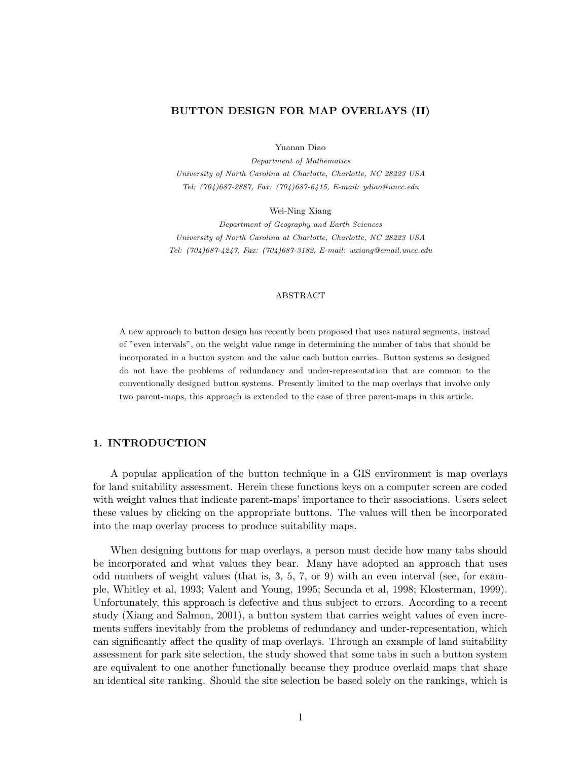### BUTTON DESIGN FOR MAP OVERLAYS (II)

Yuanan Diao

Department of Mathematics University of North Carolina at Charlotte, Charlotte, NC 28223 USA Tel: (704)687-2887, Fax: (704)687-6415, E-mail: ydiao@uncc.edu

Wei-Ning Xiang

Department of Geography and Earth Sciences University of North Carolina at Charlotte, Charlotte, NC 28223 USA Tel: (704)687-4247, Fax: (704)687-3182, E-mail: wxiang@email.uncc.edu

#### ABSTRACT

A new approach to button design has recently been proposed that uses natural segments, instead of "even intervals", on the weight value range in determining the number of tabs that should be incorporated in a button system and the value each button carries. Button systems so designed do not have the problems of redundancy and under-representation that are common to the conventionally designed button systems. Presently limited to the map overlays that involve only two parent-maps, this approach is extended to the case of three parent-maps in this article.

# 1. INTRODUCTION

A popular application of the button technique in a GIS environment is map overlays for land suitability assessment. Herein these functions keys on a computer screen are coded with weight values that indicate parent-maps' importance to their associations. Users select these values by clicking on the appropriate buttons. The values will then be incorporated into the map overlay process to produce suitability maps.

When designing buttons for map overlays, a person must decide how many tabs should be incorporated and what values they bear. Many have adopted an approach that uses odd numbers of weight values (that is, 3, 5, 7, or 9) with an even interval (see, for example, Whitley et al, 1993; Valent and Young, 1995; Secunda et al, 1998; Klosterman, 1999). Unfortunately, this approach is defective and thus subject to errors. According to a recent study (Xiang and Salmon, 2001), a button system that carries weight values of even increments suffers inevitably from the problems of redundancy and under-representation, which can significantly affect the quality of map overlays. Through an example of land suitability assessment for park site selection, the study showed that some tabs in such a button system are equivalent to one another functionally because they produce overlaid maps that share an identical site ranking. Should the site selection be based solely on the rankings, which is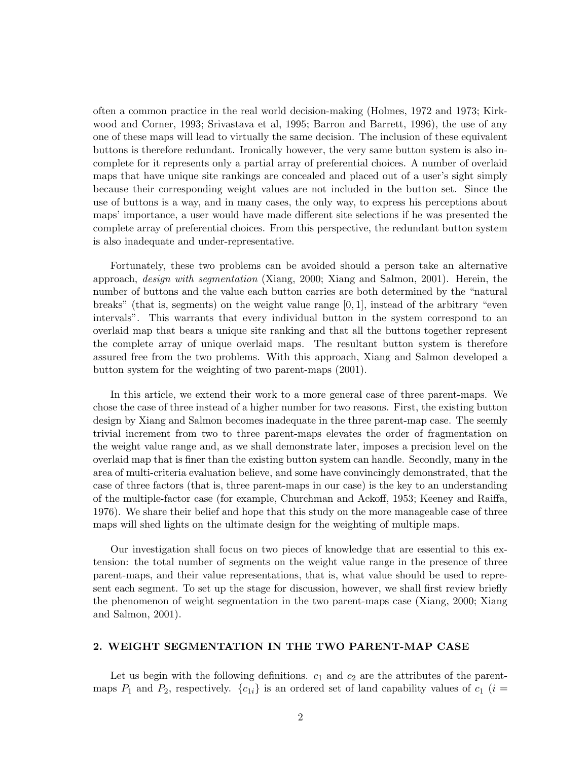often a common practice in the real world decision-making (Holmes, 1972 and 1973; Kirkwood and Corner, 1993; Srivastava et al, 1995; Barron and Barrett, 1996), the use of any one of these maps will lead to virtually the same decision. The inclusion of these equivalent buttons is therefore redundant. Ironically however, the very same button system is also incomplete for it represents only a partial array of preferential choices. A number of overlaid maps that have unique site rankings are concealed and placed out of a user's sight simply because their corresponding weight values are not included in the button set. Since the use of buttons is a way, and in many cases, the only way, to express his perceptions about maps' importance, a user would have made different site selections if he was presented the complete array of preferential choices. From this perspective, the redundant button system is also inadequate and under-representative.

Fortunately, these two problems can be avoided should a person take an alternative approach, design with segmentation (Xiang, 2000; Xiang and Salmon, 2001). Herein, the number of buttons and the value each button carries are both determined by the "natural breaks" (that is, segments) on the weight value range  $[0, 1]$ , instead of the arbitrary "even intervals". This warrants that every individual button in the system correspond to an overlaid map that bears a unique site ranking and that all the buttons together represent the complete array of unique overlaid maps. The resultant button system is therefore assured free from the two problems. With this approach, Xiang and Salmon developed a button system for the weighting of two parent-maps (2001).

In this article, we extend their work to a more general case of three parent-maps. We chose the case of three instead of a higher number for two reasons. First, the existing button design by Xiang and Salmon becomes inadequate in the three parent-map case. The seemly trivial increment from two to three parent-maps elevates the order of fragmentation on the weight value range and, as we shall demonstrate later, imposes a precision level on the overlaid map that is finer than the existing button system can handle. Secondly, many in the area of multi-criteria evaluation believe, and some have convincingly demonstrated, that the case of three factors (that is, three parent-maps in our case) is the key to an understanding of the multiple-factor case (for example, Churchman and Ackoff, 1953; Keeney and Raiffa, 1976). We share their belief and hope that this study on the more manageable case of three maps will shed lights on the ultimate design for the weighting of multiple maps.

Our investigation shall focus on two pieces of knowledge that are essential to this extension: the total number of segments on the weight value range in the presence of three parent-maps, and their value representations, that is, what value should be used to represent each segment. To set up the stage for discussion, however, we shall first review briefly the phenomenon of weight segmentation in the two parent-maps case (Xiang, 2000; Xiang and Salmon, 2001).

## 2. WEIGHT SEGMENTATION IN THE TWO PARENT-MAP CASE

Let us begin with the following definitions.  $c_1$  and  $c_2$  are the attributes of the parentmaps  $P_1$  and  $P_2$ , respectively.  $\{c_{1i}\}\$ is an ordered set of land capability values of  $c_1$  (i =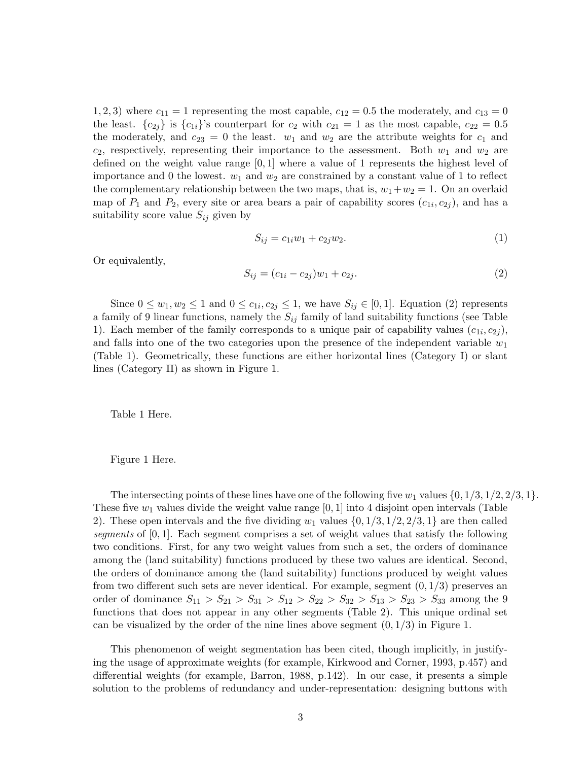1, 2, 3) where  $c_{11} = 1$  representing the most capable,  $c_{12} = 0.5$  the moderately, and  $c_{13} = 0$ the least.  ${c_{2j}}$  is  ${c_{1i}}'$ 's counterpart for  $c_2$  with  $c_{21} = 1$  as the most capable,  $c_{22} = 0.5$ the moderately, and  $c_{23} = 0$  the least.  $w_1$  and  $w_2$  are the attribute weights for  $c_1$  and  $c_2$ , respectively, representing their importance to the assessment. Both  $w_1$  and  $w_2$  are defined on the weight value range  $[0, 1]$  where a value of 1 represents the highest level of importance and 0 the lowest.  $w_1$  and  $w_2$  are constrained by a constant value of 1 to reflect the complementary relationship between the two maps, that is,  $w_1+w_2=1$ . On an overlaid map of  $P_1$  and  $P_2$ , every site or area bears a pair of capability scores  $(c_{1i}, c_{2j})$ , and has a suitability score value  $S_{ij}$  given by

$$
S_{ij} = c_{1i}w_1 + c_{2j}w_2.
$$
 (1)

Or equivalently,

$$
S_{ij} = (c_{1i} - c_{2j})w_1 + c_{2j}.
$$
\n(2)

Since  $0 \leq w_1, w_2 \leq 1$  and  $0 \leq c_{1i}, c_{2j} \leq 1$ , we have  $S_{ij} \in [0, 1]$ . Equation (2) represents a family of 9 linear functions, namely the  $S_{ij}$  family of land suitability functions (see Table 1). Each member of the family corresponds to a unique pair of capability values  $(c_{1i}, c_{2j})$ , and falls into one of the two categories upon the presence of the independent variable  $w_1$ (Table 1). Geometrically, these functions are either horizontal lines (Category I) or slant lines (Category II) as shown in Figure 1.

Table 1 Here.

Figure 1 Here.

The intersecting points of these lines have one of the following five  $w_1$  values  $\{0, 1/3, 1/2, 2/3, 1\}.$ These five  $w_1$  values divide the weight value range [0, 1] into 4 disjoint open intervals (Table 2). These open intervals and the five dividing  $w_1$  values  $\{0, 1/3, 1/2, 2/3, 1\}$  are then called segments of [0, 1]. Each segment comprises a set of weight values that satisfy the following two conditions. First, for any two weight values from such a set, the orders of dominance among the (land suitability) functions produced by these two values are identical. Second, the orders of dominance among the (land suitability) functions produced by weight values from two different such sets are never identical. For example, segment  $(0, 1/3)$  preserves an order of dominance  $S_{11} > S_{21} > S_{31} > S_{12} > S_{22} > S_{32} > S_{13} > S_{23} > S_{33}$  among the 9 functions that does not appear in any other segments (Table 2). This unique ordinal set can be visualized by the order of the nine lines above segment  $(0, 1/3)$  in Figure 1.

This phenomenon of weight segmentation has been cited, though implicitly, in justifying the usage of approximate weights (for example, Kirkwood and Corner, 1993, p.457) and differential weights (for example, Barron, 1988, p.142). In our case, it presents a simple solution to the problems of redundancy and under-representation: designing buttons with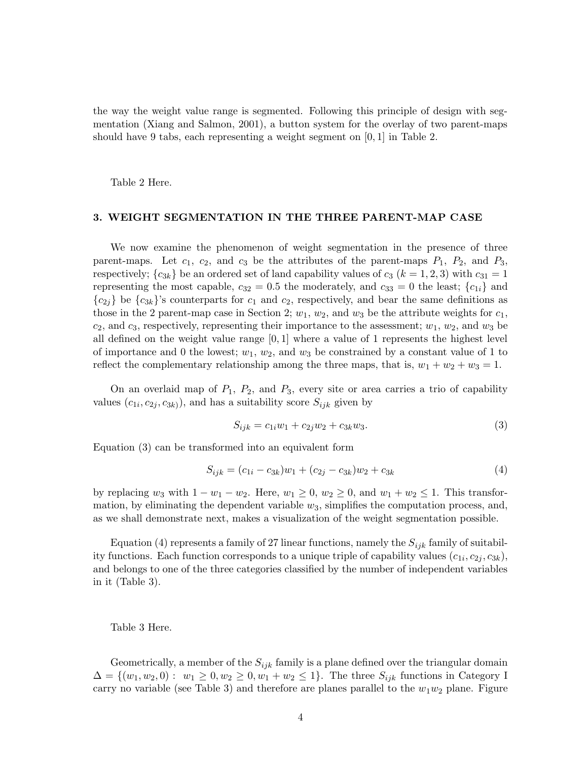the way the weight value range is segmented. Following this principle of design with segmentation (Xiang and Salmon, 2001), a button system for the overlay of two parent-maps should have 9 tabs, each representing a weight segment on [0, 1] in Table 2.

Table 2 Here.

### 3. WEIGHT SEGMENTATION IN THE THREE PARENT-MAP CASE

We now examine the phenomenon of weight segmentation in the presence of three parent-maps. Let  $c_1$ ,  $c_2$ , and  $c_3$  be the attributes of the parent-maps  $P_1$ ,  $P_2$ , and  $P_3$ , respectively;  ${c_{3k}}$  be an ordered set of land capability values of  $c_3$  ( $k = 1, 2, 3$ ) with  $c_{31} = 1$ representing the most capable,  $c_{32} = 0.5$  the moderately, and  $c_{33} = 0$  the least;  $\{c_{1i}\}\$  and  ${c_{2j}}$  be  ${c_{3k}}'$ 's counterparts for  $c_1$  and  $c_2$ , respectively, and bear the same definitions as those in the 2 parent-map case in Section 2;  $w_1$ ,  $w_2$ , and  $w_3$  be the attribute weights for  $c_1$ ,  $c_2$ , and  $c_3$ , respectively, representing their importance to the assessment;  $w_1, w_2$ , and  $w_3$  be all defined on the weight value range  $[0, 1]$  where a value of 1 represents the highest level of importance and 0 the lowest;  $w_1, w_2$ , and  $w_3$  be constrained by a constant value of 1 to reflect the complementary relationship among the three maps, that is,  $w_1 + w_2 + w_3 = 1$ .

On an overlaid map of  $P_1$ ,  $P_2$ , and  $P_3$ , every site or area carries a trio of capability values  $(c_{1i}, c_{2j}, c_{3k})$ , and has a suitability score  $S_{ijk}$  given by

$$
S_{ijk} = c_{1i}w_1 + c_{2j}w_2 + c_{3k}w_3.
$$
\n(3)

Equation (3) can be transformed into an equivalent form

$$
S_{ijk} = (c_{1i} - c_{3k})w_1 + (c_{2j} - c_{3k})w_2 + c_{3k}
$$
\n
$$
\tag{4}
$$

by replacing  $w_3$  with  $1 - w_1 - w_2$ . Here,  $w_1 \geq 0$ ,  $w_2 \geq 0$ , and  $w_1 + w_2 \leq 1$ . This transformation, by eliminating the dependent variable  $w_3$ , simplifies the computation process, and, as we shall demonstrate next, makes a visualization of the weight segmentation possible.

Equation (4) represents a family of 27 linear functions, namely the  $S_{ijk}$  family of suitability functions. Each function corresponds to a unique triple of capability values  $(c_{1i}, c_{2j}, c_{3k})$ , and belongs to one of the three categories classified by the number of independent variables in it (Table 3).

Table 3 Here.

Geometrically, a member of the  $S_{ijk}$  family is a plane defined over the triangular domain  $\Delta = \{(w_1, w_2, 0): w_1 \geq 0, w_2 \geq 0, w_1 + w_2 \leq 1\}.$  The three  $S_{ijk}$  functions in Category I carry no variable (see Table 3) and therefore are planes parallel to the  $w_1w_2$  plane. Figure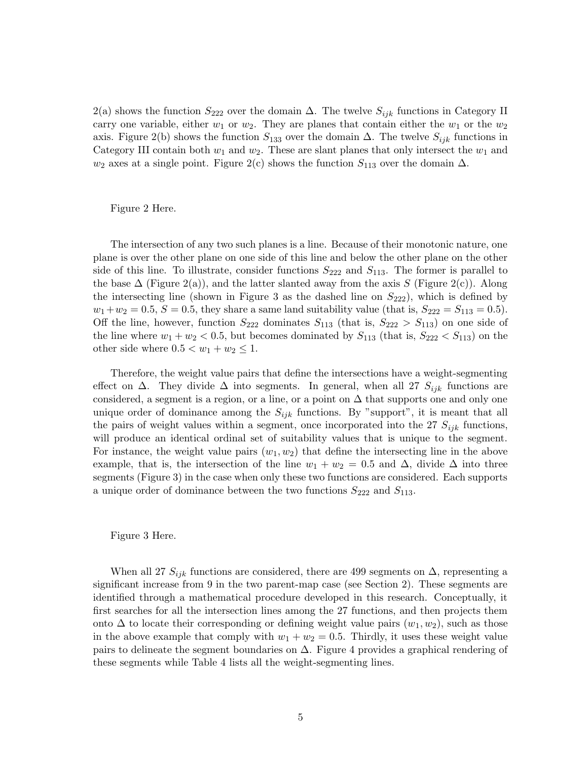2(a) shows the function  $S_{222}$  over the domain  $\Delta$ . The twelve  $S_{ijk}$  functions in Category II carry one variable, either  $w_1$  or  $w_2$ . They are planes that contain either the  $w_1$  or the  $w_2$ axis. Figure 2(b) shows the function  $S_{133}$  over the domain  $\Delta$ . The twelve  $S_{ijk}$  functions in Category III contain both  $w_1$  and  $w_2$ . These are slant planes that only intersect the  $w_1$  and  $w_2$  axes at a single point. Figure 2(c) shows the function  $S_{113}$  over the domain  $\Delta$ .

Figure 2 Here.

The intersection of any two such planes is a line. Because of their monotonic nature, one plane is over the other plane on one side of this line and below the other plane on the other side of this line. To illustrate, consider functions  $S_{222}$  and  $S_{113}$ . The former is parallel to the base  $\Delta$  (Figure 2(a)), and the latter slanted away from the axis S (Figure 2(c)). Along the intersecting line (shown in Figure 3 as the dashed line on  $S_{222}$ ), which is defined by  $w_1+w_2 = 0.5, S = 0.5$ , they share a same land suitability value (that is,  $S_{222} = S_{113} = 0.5$ ). Off the line, however, function  $S_{222}$  dominates  $S_{113}$  (that is,  $S_{222} > S_{113}$ ) on one side of the line where  $w_1 + w_2 < 0.5$ , but becomes dominated by  $S_{113}$  (that is,  $S_{222} < S_{113}$ ) on the other side where  $0.5 < w_1 + w_2 \leq 1$ .

Therefore, the weight value pairs that define the intersections have a weight-segmenting effect on  $\Delta$ . They divide  $\Delta$  into segments. In general, when all 27  $S_{ijk}$  functions are considered, a segment is a region, or a line, or a point on  $\Delta$  that supports one and only one unique order of dominance among the  $S_{ijk}$  functions. By "support", it is meant that all the pairs of weight values within a segment, once incorporated into the 27  $S_{ijk}$  functions, will produce an identical ordinal set of suitability values that is unique to the segment. For instance, the weight value pairs  $(w_1, w_2)$  that define the intersecting line in the above example, that is, the intersection of the line  $w_1 + w_2 = 0.5$  and  $\Delta$ , divide  $\Delta$  into three segments (Figure 3) in the case when only these two functions are considered. Each supports a unique order of dominance between the two functions  $S_{222}$  and  $S_{113}$ .

#### Figure 3 Here.

When all 27  $S_{ijk}$  functions are considered, there are 499 segments on  $\Delta$ , representing a significant increase from 9 in the two parent-map case (see Section 2). These segments are identified through a mathematical procedure developed in this research. Conceptually, it first searches for all the intersection lines among the 27 functions, and then projects them onto  $\Delta$  to locate their corresponding or defining weight value pairs  $(w_1, w_2)$ , such as those in the above example that comply with  $w_1 + w_2 = 0.5$ . Thirdly, it uses these weight value pairs to delineate the segment boundaries on  $\Delta$ . Figure 4 provides a graphical rendering of these segments while Table 4 lists all the weight-segmenting lines.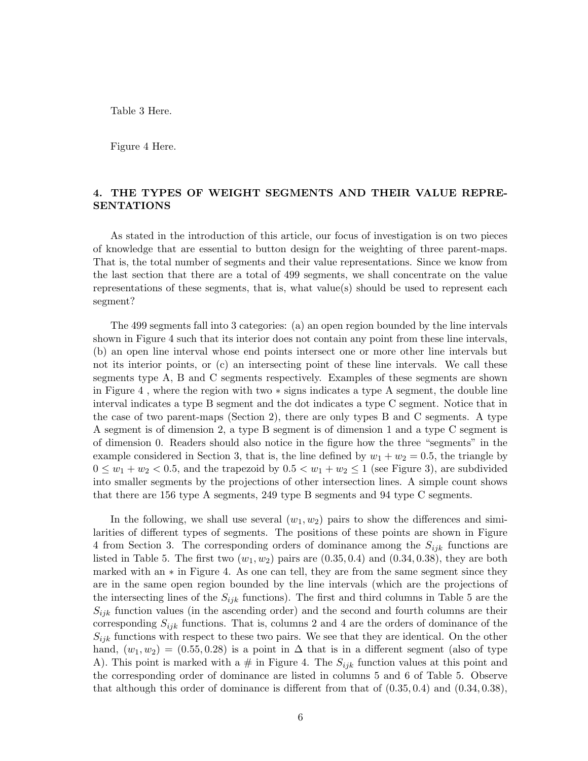Table 3 Here.

Figure 4 Here.

# 4. THE TYPES OF WEIGHT SEGMENTS AND THEIR VALUE REPRE-SENTATIONS

As stated in the introduction of this article, our focus of investigation is on two pieces of knowledge that are essential to button design for the weighting of three parent-maps. That is, the total number of segments and their value representations. Since we know from the last section that there are a total of 499 segments, we shall concentrate on the value representations of these segments, that is, what value(s) should be used to represent each segment?

The 499 segments fall into 3 categories: (a) an open region bounded by the line intervals shown in Figure 4 such that its interior does not contain any point from these line intervals, (b) an open line interval whose end points intersect one or more other line intervals but not its interior points, or (c) an intersecting point of these line intervals. We call these segments type A, B and C segments respectively. Examples of these segments are shown in Figure 4 , where the region with two ∗ signs indicates a type A segment, the double line interval indicates a type B segment and the dot indicates a type C segment. Notice that in the case of two parent-maps (Section 2), there are only types B and C segments. A type A segment is of dimension 2, a type B segment is of dimension 1 and a type C segment is of dimension 0. Readers should also notice in the figure how the three "segments" in the example considered in Section 3, that is, the line defined by  $w_1 + w_2 = 0.5$ , the triangle by  $0 \leq w_1 + w_2 < 0.5$ , and the trapezoid by  $0.5 < w_1 + w_2 \leq 1$  (see Figure 3), are subdivided into smaller segments by the projections of other intersection lines. A simple count shows that there are 156 type A segments, 249 type B segments and 94 type C segments.

In the following, we shall use several  $(w_1, w_2)$  pairs to show the differences and similarities of different types of segments. The positions of these points are shown in Figure 4 from Section 3. The corresponding orders of dominance among the  $S_{ijk}$  functions are listed in Table 5. The first two  $(w_1, w_2)$  pairs are  $(0.35, 0.4)$  and  $(0.34, 0.38)$ , they are both marked with an  $*$  in Figure 4. As one can tell, they are from the same segment since they are in the same open region bounded by the line intervals (which are the projections of the intersecting lines of the  $S_{ijk}$  functions). The first and third columns in Table 5 are the  $S_{ijk}$  function values (in the ascending order) and the second and fourth columns are their corresponding  $S_{ijk}$  functions. That is, columns 2 and 4 are the orders of dominance of the  $S_{ijk}$  functions with respect to these two pairs. We see that they are identical. On the other hand,  $(w_1, w_2) = (0.55, 0.28)$  is a point in  $\Delta$  that is in a different segment (also of type A). This point is marked with a  $\#$  in Figure 4. The  $S_{ijk}$  function values at this point and the corresponding order of dominance are listed in columns 5 and 6 of Table 5. Observe that although this order of dominance is different from that of  $(0.35, 0.4)$  and  $(0.34, 0.38)$ ,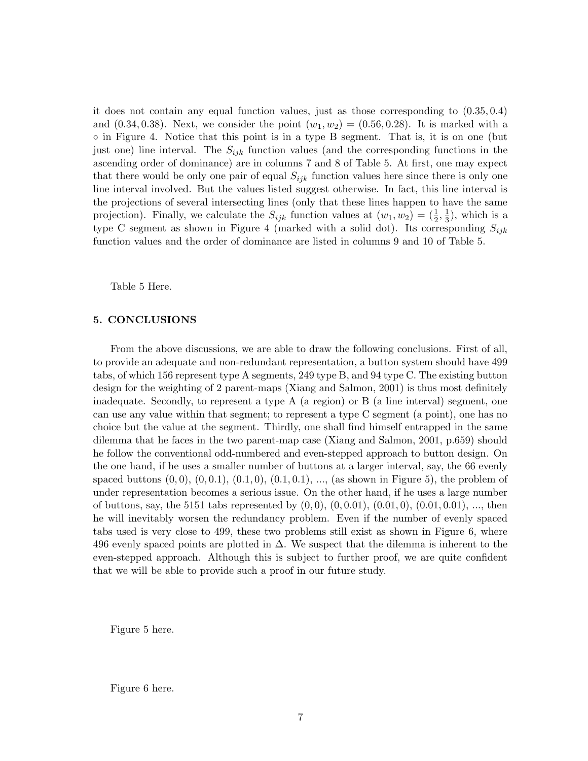it does not contain any equal function values, just as those corresponding to (0.35, 0.4) and  $(0.34, 0.38)$ . Next, we consider the point  $(w_1, w_2) = (0.56, 0.28)$ . It is marked with a ◦ in Figure 4. Notice that this point is in a type B segment. That is, it is on one (but just one) line interval. The  $S_{ijk}$  function values (and the corresponding functions in the ascending order of dominance) are in columns 7 and 8 of Table 5. At first, one may expect that there would be only one pair of equal  $S_{ijk}$  function values here since there is only one line interval involved. But the values listed suggest otherwise. In fact, this line interval is the projections of several intersecting lines (only that these lines happen to have the same projection). Finally, we calculate the  $S_{ijk}$  function values at  $(w_1, w_2) = (\frac{1}{2})$  $\frac{1}{2}, \frac{1}{3}$  $\frac{1}{3}$ , which is a type C segment as shown in Figure 4 (marked with a solid dot). Its corresponding  $S_{ijk}$ function values and the order of dominance are listed in columns 9 and 10 of Table 5.

Table 5 Here.

#### 5. CONCLUSIONS

From the above discussions, we are able to draw the following conclusions. First of all, to provide an adequate and non-redundant representation, a button system should have 499 tabs, of which 156 represent type A segments, 249 type B, and 94 type C. The existing button design for the weighting of 2 parent-maps (Xiang and Salmon, 2001) is thus most definitely inadequate. Secondly, to represent a type A (a region) or B (a line interval) segment, one can use any value within that segment; to represent a type C segment (a point), one has no choice but the value at the segment. Thirdly, one shall find himself entrapped in the same dilemma that he faces in the two parent-map case (Xiang and Salmon, 2001, p.659) should he follow the conventional odd-numbered and even-stepped approach to button design. On the one hand, if he uses a smaller number of buttons at a larger interval, say, the 66 evenly spaced buttons  $(0, 0), (0, 0.1), (0.1, 0), (0.1, 0.1), \ldots$ , (as shown in Figure 5), the problem of under representation becomes a serious issue. On the other hand, if he uses a large number of buttons, say, the 5151 tabs represented by  $(0, 0)$ ,  $(0, 0.01)$ ,  $(0.01, 0)$ ,  $(0.01, 0.01)$ , ..., then he will inevitably worsen the redundancy problem. Even if the number of evenly spaced tabs used is very close to 499, these two problems still exist as shown in Figure 6, where 496 evenly spaced points are plotted in  $\Delta$ . We suspect that the dilemma is inherent to the even-stepped approach. Although this is subject to further proof, we are quite confident that we will be able to provide such a proof in our future study.

Figure 5 here.

Figure 6 here.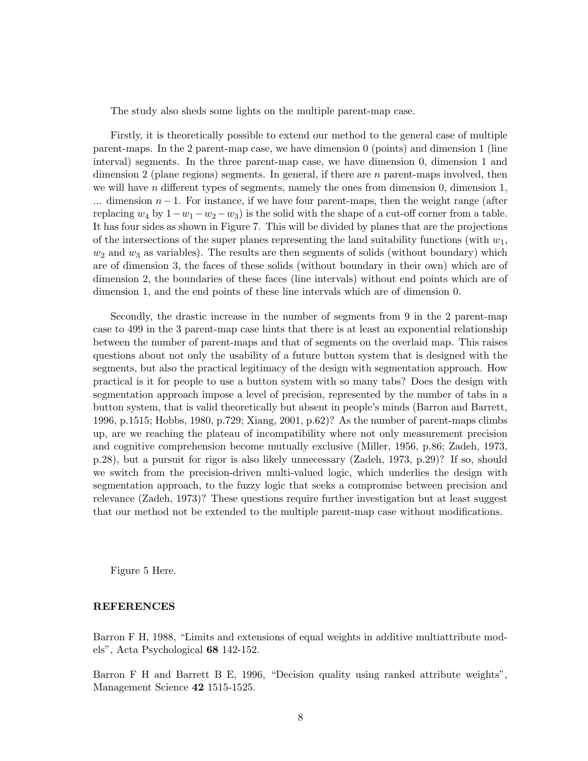The study also sheds some lights on the multiple parent-map case.

Firstly, it is theoretically possible to extend our method to the general case of multiple parent-maps. In the 2 parent-map case, we have dimension 0 (points) and dimension 1 (line interval) segments. In the three parent-map case, we have dimension 0, dimension 1 and dimension 2 (plane regions) segments. In general, if there are *n* parent-maps involved, then we will have n different types of segments, namely the ones from dimension  $0$ , dimension 1, ... dimension  $n-1$ . For instance, if we have four parent-maps, then the weight range (after replacing  $w_4$  by  $1-w_1-w_2-w_3$ ) is the solid with the shape of a cut-off corner from a table. It has four sides as shown in Figure 7. This will be divided by planes that are the projections of the intersections of the super planes representing the land suitability functions (with  $w_1$ ,  $w_2$  and  $w_3$  as variables). The results are then segments of solids (without boundary) which are of dimension 3, the faces of these solids (without boundary in their own) which are of dimension 2, the boundaries of these faces (line intervals) without end points which are of dimension 1, and the end points of these line intervals which are of dimension 0.

Secondly, the drastic increase in the number of segments from 9 in the 2 parent-map case to 499 in the 3 parent-map case hints that there is at least an exponential relationship between the number of parent-maps and that of segments on the overlaid map. This raises questions about not only the usability of a future button system that is designed with the segments, but also the practical legitimacy of the design with segmentation approach. How practical is it for people to use a button system with so many tabs? Does the design with segmentation approach impose a level of precision, represented by the number of tabs in a button system, that is valid theoretically but absent in people's minds (Barron and Barrett, 1996, p.1515; Hobbs, 1980, p.729; Xiang, 2001, p.62)? As the number of parent-maps climbs up, are we reaching the plateau of incompatibility where not only measurement precision and cognitive comprehension become mutually exclusive (Miller, 1956, p.86; Zadeh, 1973, p.28), but a pursuit for rigor is also likely unnecessary (Zadeh, 1973, p.29)? If so, should we switch from the precision-driven multi-valued logic, which underlies the design with segmentation approach, to the fuzzy logic that seeks a compromise between precision and relevance (Zadeh, 1973)? These questions require further investigation but at least suggest that our method not be extended to the multiple parent-map case without modifications.

Figure 5 Here.

# REFERENCES

Barron F H, 1988, "Limits and extensions of equal weights in additive multiattribute models", Acta Psychological 68 142-152.

Barron F H and Barrett B E, 1996, "Decision quality using ranked attribute weights", Management Science 42 1515-1525.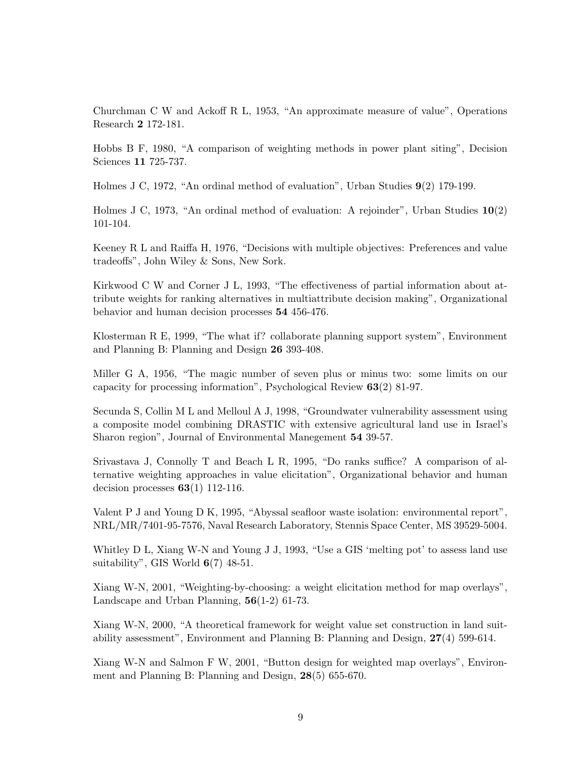Churchman C W and Ackoff R L, 1953, "An approximate measure of value", Operations Research 2 172-181.

Hobbs B F, 1980, "A comparison of weighting methods in power plant siting", Decision Sciences 11 725-737.

Holmes J C, 1972, "An ordinal method of evaluation", Urban Studies 9(2) 179-199.

Holmes J C, 1973, "An ordinal method of evaluation: A rejoinder", Urban Studies 10(2) 101-104.

Keeney R L and Raiffa H, 1976, "Decisions with multiple objectives: Preferences and value tradeoffs", John Wiley & Sons, New Sork.

Kirkwood C W and Corner J L, 1993, "The effectiveness of partial information about attribute weights for ranking alternatives in multiattribute decision making", Organizational behavior and human decision processes 54 456-476.

Klosterman R E, 1999, "The what if? collaborate planning support system", Environment and Planning B: Planning and Design 26 393-408.

Miller G A, 1956, "The magic number of seven plus or minus two: some limits on our capacity for processing information", Psychological Review 63(2) 81-97.

Secunda S, Collin M L and Melloul A J, 1998, "Groundwater vulnerability assessment using a composite model combining DRASTIC with extensive agricultural land use in Israel's Sharon region", Journal of Environmental Manegement 54 39-57.

Srivastava J, Connolly T and Beach L R, 1995, "Do ranks suffice? A comparison of alternative weighting approaches in value elicitation", Organizational behavior and human decision processes  $63(1)$  112-116.

Valent P J and Young D K, 1995, "Abyssal seafloor waste isolation: environmental report", NRL/MR/7401-95-7576, Naval Research Laboratory, Stennis Space Center, MS 39529-5004.

Whitley D L, Xiang W-N and Young J J, 1993, "Use a GIS 'melting pot' to assess land use suitability", GIS World  $6(7)$  48-51.

Xiang W-N, 2001, "Weighting-by-choosing: a weight elicitation method for map overlays", Landscape and Urban Planning, 56(1-2) 61-73.

Xiang W-N, 2000, "A theoretical framework for weight value set construction in land suitability assessment", Environment and Planning B: Planning and Design, 27(4) 599-614.

Xiang W-N and Salmon F W, 2001, "Button design for weighted map overlays", Environment and Planning B: Planning and Design, 28(5) 655-670.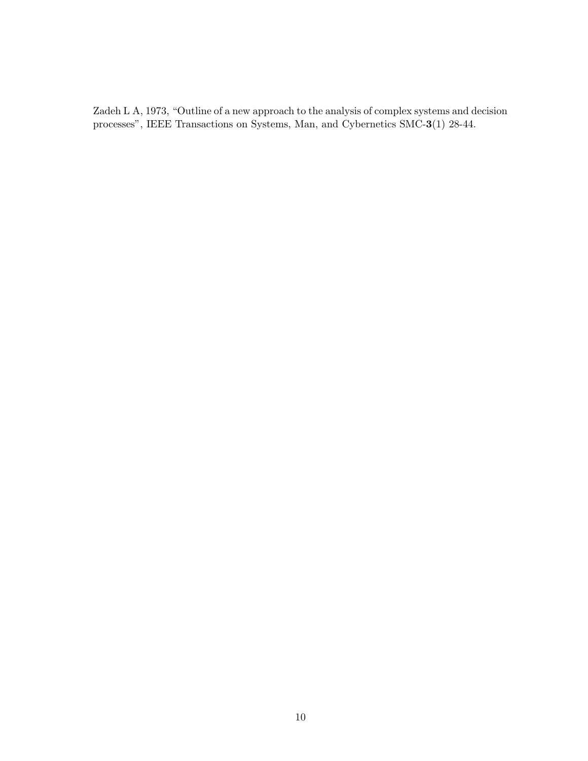Zadeh L A, 1973, "Outline of a new approach to the analysis of complex systems and decision processes", IEEE Transactions on Systems, Man, and Cybernetics SMC-3(1) 28-44.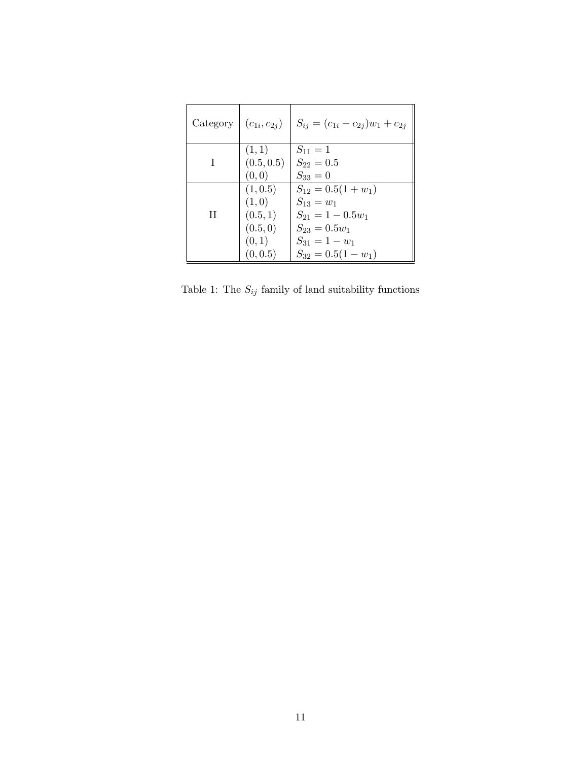| Category | $(c_{1i}, c_{2j})$                                             | $S_{ij} = (c_{1i} - c_{2j})w_1 + c_{2j}$                                                                                                 |
|----------|----------------------------------------------------------------|------------------------------------------------------------------------------------------------------------------------------------------|
|          | (1,1)<br>(0.5, 0.5)<br>(0, 0)                                  | $S_{11} = 1$<br>$S_{22}=0.5$<br>$S_{33}=0$                                                                                               |
| Н        | (1, 0.5)<br>(1,0)<br>(0.5, 1)<br>(0.5, 0)<br>(0,1)<br>(0, 0.5) | $S_{12} = 0.5(1 + w_1)$<br>$S_{13} = w_1$<br>$S_{21} = 1 - 0.5w_1$<br>$S_{23} = 0.5w_1$<br>$S_{31} = 1 - w_1$<br>$S_{32} = 0.5(1 - w_1)$ |

Table 1: The  $\mathcal{S}_{ij}$  family of land suitability functions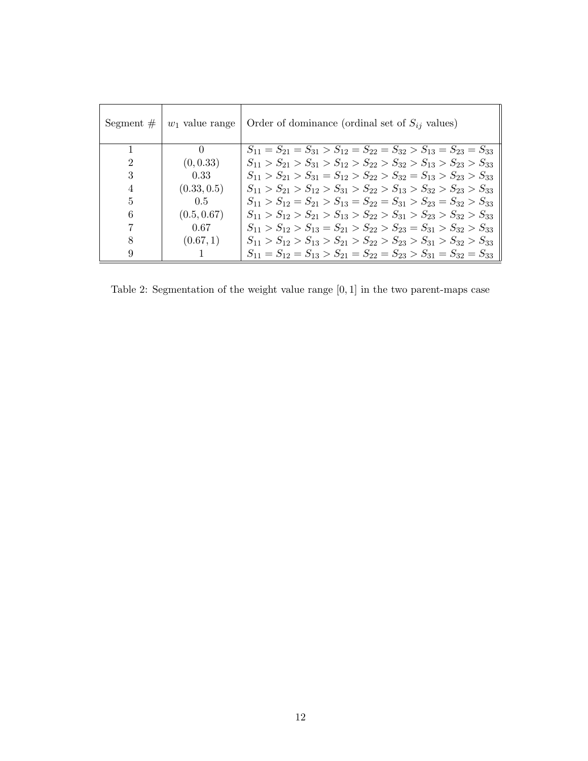| Segment $#$    | $w_1$ value range | Order of dominance (ordinal set of $S_{ij}$ values)                              |
|----------------|-------------------|----------------------------------------------------------------------------------|
|                | 0                 | $S_{11} = S_{21} = S_{31} > S_{12} = S_{22} = S_{32} > S_{13} = S_{23} = S_{33}$ |
| 2              | (0, 0.33)         | $S_{11} > S_{21} > S_{31} > S_{12} > S_{22} > S_{32} > S_{13} > S_{23} > S_{33}$ |
| 3              | 0.33              | $S_{11} > S_{21} > S_{31} = S_{12} > S_{22} > S_{32} = S_{13} > S_{23} > S_{33}$ |
| $\overline{4}$ | (0.33, 0.5)       | $S_{11} > S_{21} > S_{12} > S_{31} > S_{22} > S_{13} > S_{32} > S_{23} > S_{33}$ |
| 5              | 0.5               | $S_{11} > S_{12} = S_{21} > S_{13} = S_{22} = S_{31} > S_{23} = S_{32} > S_{33}$ |
| 6              | (0.5, 0.67)       | $S_{11} > S_{12} > S_{21} > S_{13} > S_{22} > S_{31} > S_{23} > S_{32} > S_{33}$ |
|                | 0.67              | $S_{11} > S_{12} > S_{13} = S_{21} > S_{22} > S_{23} = S_{31} > S_{32} > S_{33}$ |
| 8              | (0.67, 1)         | $S_{11} > S_{12} > S_{13} > S_{21} > S_{22} > S_{23} > S_{31} > S_{32} > S_{33}$ |
| 9              |                   | $S_{11} = S_{12} = S_{13} > S_{21} = S_{22} = S_{23} > S_{31} = S_{32} = S_{33}$ |

Table 2: Segmentation of the weight value range [0, 1] in the two parent-maps case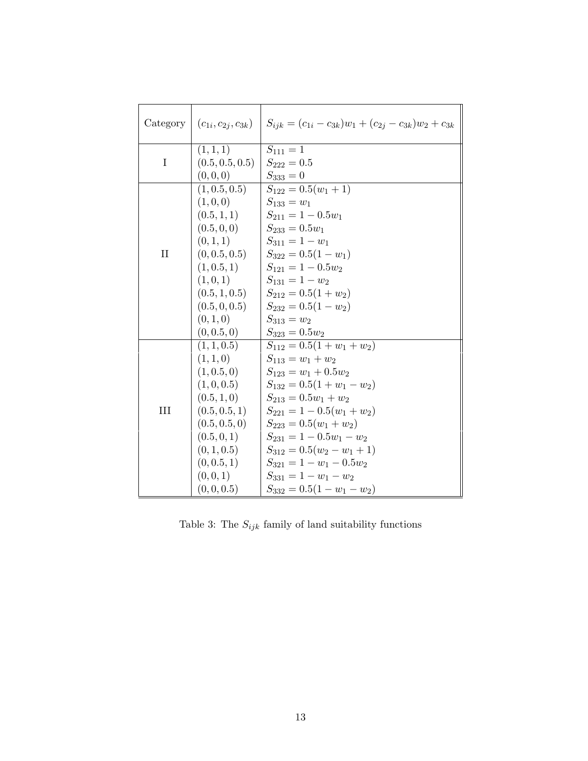| Category     | $(c_{1i}, c_{2j}, c_{3k})$   | $S_{ijk} = (c_{1i} - c_{3k})w_1 + (c_{2j} - c_{3k})w_2 + c_{3k}$ |
|--------------|------------------------------|------------------------------------------------------------------|
| I            | (1, 1, 1)<br>(0.5, 0.5, 0.5) | $S_{111} = 1$<br>$S_{222} = 0.5$                                 |
|              | (0,0,0)                      | $S_{333} = 0$                                                    |
|              | (1, 0.5, 0.5)                | $S_{122} = 0.5(w_1 + 1)$                                         |
|              | (1,0,0)                      | $S_{133} = w_1$                                                  |
|              | (0.5, 1, 1)                  | $S_{211} = 1 - 0.5w_1$                                           |
|              | (0.5, 0, 0)                  | $S_{233} = 0.5w_1$                                               |
|              | (0, 1, 1)                    | $S_{311} = 1 - w_1$                                              |
| $\mathbf{I}$ | (0, 0.5, 0.5)                | $S_{322} = 0.5(1 - w_1)$                                         |
|              | (1, 0.5, 1)                  | $S_{121} = 1 - 0.5w_2$                                           |
|              | (1, 0, 1)                    | $S_{131} = 1 - w_2$                                              |
|              | (0.5, 1, 0.5)                | $S_{212} = 0.5(1 + w_2)$                                         |
|              | (0.5, 0, 0.5)                | $S_{232} = 0.5(1 - w_2)$                                         |
|              | (0, 1, 0)                    | $S_{313} = w_2$                                                  |
|              | (0, 0.5, 0)                  | $S_{323} = 0.5 w_2$                                              |
|              | (1, 1, 0.5)                  | $S_{112} = 0.5(1 + w_1 + w_2)$                                   |
|              | (1, 1, 0)                    | $S_{113} = w_1 + w_2$                                            |
|              | (1, 0.5, 0)                  | $S_{123} = w_1 + 0.5w_2$                                         |
|              | (1, 0, 0.5)                  | $S_{132} = 0.5(1 + w_1 - w_2)$                                   |
|              | (0.5, 1, 0)                  | $S_{213} = 0.5w_1 + w_2$                                         |
| III          | (0.5, 0.5, 1)                | $S_{221} = 1 - 0.5(w_1 + w_2)$                                   |
|              | (0.5, 0.5, 0)                | $S_{223} = 0.5(w_1 + w_2)$                                       |
|              | (0.5, 0, 1)                  | $S_{231} = 1 - 0.5w_1 - w_2$                                     |
|              | (0, 1, 0.5)                  | $S_{312} = 0.5(w_2 - w_1 + 1)$                                   |
|              | (0, 0.5, 1)                  | $S_{321} = 1 - w_1 - 0.5w_2$                                     |
|              | (0, 0, 1)                    | $S_{331} = 1 - w_1 - w_2$                                        |
|              | (0, 0, 0.5)                  | $S_{332} = 0.5(1 - w_1 - w_2)$                                   |

Table 3: The  $\mathcal{S}_{ijk}$  family of land suitability functions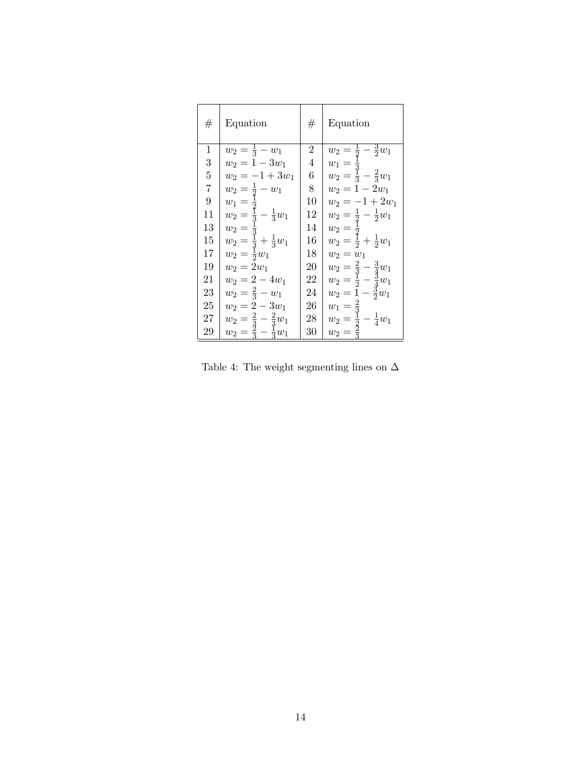| #              | Equation                                                    | #  | Equation                                                                                                                       |
|----------------|-------------------------------------------------------------|----|--------------------------------------------------------------------------------------------------------------------------------|
| 1              | $w_2 = \frac{1}{3} - w_1$                                   | 2  | $w_2 = \frac{1}{2} - \frac{3}{2}w_1$                                                                                           |
| 3              | $w_2 = 1 - 3w_1$                                            | 4  | $w_1 = \frac{1}{3}$                                                                                                            |
| $\overline{5}$ | $w_2 = -1 + 3w_1$                                           | 6  | $w_2 = \frac{1}{3} - \frac{2}{3}w_1$                                                                                           |
| 7              | $w_2 = \frac{1}{2} - w_1$                                   | 8  | $w_2 = 1 - 2w_1$                                                                                                               |
| 9              |                                                             | 10 | $w_2 = -1 + 2w_1$                                                                                                              |
| 11             | $w_1 = \frac{1}{2}$<br>$w_2 = \frac{1}{3} - \frac{1}{3}w_1$ | 12 |                                                                                                                                |
| 13             | $w_2 =$                                                     | 14 |                                                                                                                                |
| 15             | $w_2 = \frac{3}{3} + \frac{1}{3}w_1$                        | 16 | $\begin{array}{l} w_2 = \frac{1}{2} - \frac{1}{2} w_1 \\ w_2 = \frac{1}{2} \\ w_2 = \frac{1}{2} + \frac{1}{2} w_1 \end{array}$ |
| 17             | $w_2 = \frac{1}{2}w_1$                                      | 18 | $w_2 = w_1$                                                                                                                    |
| 19             | $w_2 = 2w_1$                                                | 20 | $w_2 = \frac{2}{3} - \frac{3}{4}w_1$<br>$w_2 = \frac{1}{2} - \frac{3}{4}w_1$                                                   |
| 21             | $w_2 = 2 - 4w_1$                                            | 22 |                                                                                                                                |
| 23             | $w_2 = \frac{2}{3} - w_1$                                   | 24 | $w_2 = 1 - \frac{3}{2}w_1$                                                                                                     |
| 25             | $w_2 = 2 - 3w_1$                                            | 26 | $\frac{2}{3}$<br>$w_1 =$                                                                                                       |
| 27             | $w_2 = \frac{2}{3} - \frac{2}{3}w_1$                        | 28 | $w_2 = \frac{1}{2} - \frac{1}{4}w_1$                                                                                           |
| 29             | $w_2 = \frac{2}{3} - \frac{1}{3}w_1$                        | 30 | $w_2 =$                                                                                                                        |

Table 4: The weight segmenting lines on  $\Delta$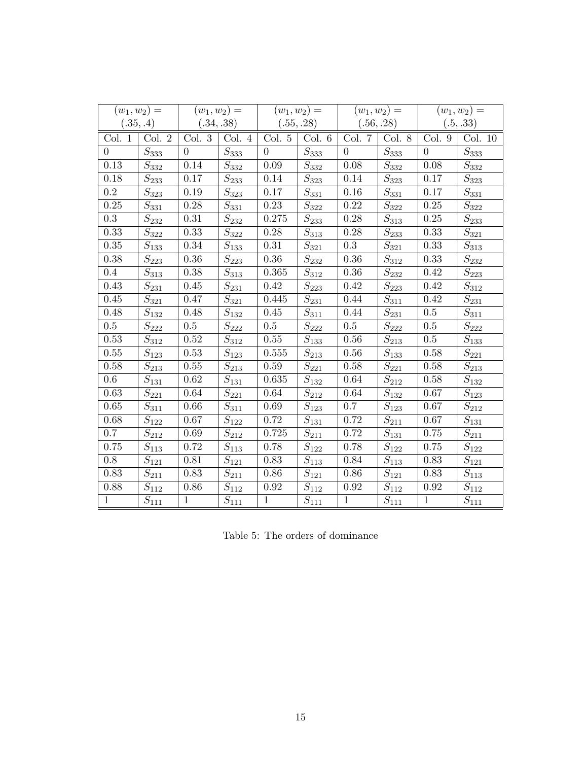|              | $(w_1, w_2) =$                   |                | $(w_1, w_2) =$                    |                | $(w_1, w_2) =$                    |                   | $(w_1, w_2) =$                      |                   | $(w_1, w_2) =$                   |
|--------------|----------------------------------|----------------|-----------------------------------|----------------|-----------------------------------|-------------------|-------------------------------------|-------------------|----------------------------------|
| (.35, .4)    |                                  | (.34, .38)     |                                   | (.55, .28)     |                                   | (.56, .28)        |                                     | (.5, .33)         |                                  |
| Col. 1       | Col. 2                           | Col.3          | Col. 4                            | Col. 5         | Col. 6                            | Col. 7            | Col. 8                              | Col. 9            | Col. 10                          |
| $\Omega$     | $S_{\rm 333}$                    | $\overline{0}$ | $\overline{S_{333}}$              | $\overline{0}$ | $S_{333}$                         | $\theta$          | $\overline{S_{333}}$                | $\overline{0}$    | $S_{333}$                        |
| 0.13         | $S_{332}$                        | 0.14           | $S_{332}$                         | 0.09           | $S_{332}$                         | 0.08              | $S_{332}$                           | 0.08              | $S_{332}$                        |
| 0.18         | $S_{233}$                        | 0.17           | $S_{233}$                         | 0.14           | $S_{\rm 323}$                     | 0.14              | $\mathcal{S}_{323}$                 | 0.17              | $\mathcal{S}_{323}$              |
| $0.2\,$      | $S_{32\underline{3}}$            | 0.19           | $S_{\rm 323}$                     | 0.17           | $\overline{S_{331}}$              | 0.16              | $S_{331}$                           | 0.17              | $\overline{S_{331}}$             |
| 0.25         | $\overline{S_{331}}$             | 0.28           | $\overline{S_{331}}$              | 0.23           | $\overline{S_{322}}$              | 0.22              | $\overline{S_{322}}$                | $\overline{0.25}$ | $\overline{S}_{322}$             |
| 0.3          | $S_{232}$                        | 0.31           | $\mathcal{S}_{232}$               | 0.275          | $S_{23\underline{3}}$             | 0.28              | $S_{313}$                           | 0.25              | $S_{23\underline{3}}$            |
| 0.33         | $S_{322}$                        | 0.33           | $S_{322}$                         | 0.28           | $S_{31\underline{3}}$             | 0.28              | $S_{2\underline{3}\underline{3}}$   | 0.33              | $S_{\rm 321}$                    |
| 0.35         | $S_{13\underline{3}}$            | 0.34           | $S_{133}$                         | 0.31           | $\overline{S_{321}}$              | 0.3               | $S_{32\underline{1}}$               | 0.33              | $S_{31\underline{3}}$            |
| 0.38         | $\overline{S_{223}}$             | 0.36           | $S_{223}$                         | $0.36\,$       | $S_{232}$                         | 0.36              | $S_{\rm 312}$                       | 0.33              | $S_{232}$                        |
| 0.4          | $S_{31\underline{3}}$            | 0.38           | $S_{3\underline{1}\underline{3}}$ | 0.365          | $S_{312}$                         | 0.36              | $S_{232}$                           | 0.42              | $S_{223}$                        |
| 0.43         | $S_{231}$                        | 0.45           | $S_{231}$                         | 0.42           | $S_{223}$                         | 0.42              | $S_{223}$                           | 0.42              | $S_{312}$                        |
| 0.45         | $S_{321}$                        | 0.47           | $S_{\rm 321}$                     | 0.445          | $S_{231}$                         | 0.44              | $S_{31\underline{1}}$               | 0.42              | $S_{231}$                        |
| 0.48         | $S_{132}$                        | 0.48           | $\overline{S}_{132}$              | 0.45           | $\overline{S}_{31\underline{1}}$  | 0.44              | $S_{23\underline{1}}$               | 0.5               | $\overline{S}_{311}$             |
| 0.5          | $\overline{S_{222}}$             | 0.5            | $\overline{S}_{222}$              | $0.5\,$        | $\overline{S}_{222}$              | $0.5\,$           | $S_{2\underline{2}\underline{2}}$   | 0.5               | $\overline{S_{222}}$             |
| 0.53         | $S_{312}$                        | 0.52           | $S_{312}$                         | $0.55\,$       | $\overline{S}_{13\underline{3}}$  | 0.56              | $S_{21\underline{3}}$               | $\overline{0.5}$  | $\overline{S}_{133}$             |
| 0.55         | $S_{123}$                        | 0.53           | $S_{123}$                         | 0.555          | $S_{213}$                         | 0.56              | $S_{13\underline{3}}$               | 0.58              | $\mathcal{S}_{221}$              |
| 0.58         | $S_{213}$                        | 0.55           | $S_{213}$                         | $0.59\,$       | $S_{22\underline{1}}$             | 0.58              | $S_{221}$                           | 0.58              | $S_{21\underline{3}}$            |
| $0.6\,$      | $\overline{S}_{13\underline{1}}$ | 0.62           | $\overline{S}_{131}$              | 0.635          | $\overline{S}_{132}$              | 0.64              | $S_{212}$                           | 0.58              | $\overline{S}_{132}$             |
| 0.63         | $S_{22\underline{1}}$            | 0.64           | $S_{22\underline{1}}$             | 0.64           | $S_{21\underline{2}}$             | 0.64              | $S_{1 \underline{3} \underline{2}}$ | 0.67              | $S_{123}$                        |
| 0.65         | $\overline{S}_{31\underline{1}}$ | 0.66           | $\bar{S}_{311}$                   | 0.69           | $\overline{S}_{123}$              | $\overline{0}$ .7 | $\overline{S_{123}}$                | 0.67              | $S_{212}$                        |
| 0.68         | $S_{122}$                        | 0.67           | $S_{122}$                         | $0.72\,$       | $\overline{S_{131}}$              | 0.72              | $S_{2\underline{1}\underline{1}}$   | 0.67              | $\overline{S}_{13\underline{1}}$ |
| 0.7          | $\overline{S_{212}}$             | 0.69           | $\overline{S}_{212}$              | 0.725          | $S_{211}$                         | 0.72              | $S_{131}$                           | 0.75              | $S_{211}$                        |
| 0.75         | $S_{11\underline{3}}$            | 0.72           | $S_{11\underline{3}}$             | 0.78           | $S_{122}$                         | 0.78              | $S_{122}$                           | 0.75              | $S_{122}$                        |
| 0.8          | $S_{121}$                        | 0.81           | $S_{12\underline{1}}$             | 0.83           | $S_{1\underline{1}\underline{3}}$ | 0.84              | $S_{11\underline{3}}$               | 0.83              | $S_{121}$                        |
| 0.83         | $S_{21\underline{1}}$            | 0.83           | $S_{21\underline{1}}$             | 0.86           | $S_{121}$                         | 0.86              | $S_{12\underline{1}}$               | 0.83              | $S_{11\underline{3}}$            |
| 0.88         | $S_{112}$                        | 0.86           | $S_{112}$                         | 0.92           | $\overline{S}_{112}$              | 0.92              | $S_{1\underline{1}\underline{2}}$   | 0.92              | $S_{112}$                        |
| $\mathbf{1}$ | $S_{11\underline{1}}$            | $\mathbf{1}$   | $S_{11\underline{1}}$             | $\mathbf{1}$   | $S_{11\underline{1}}$             | $\mathbf{1}$      | $S_{1\underline{1}\underline{1}}$   | $\mathbf{1}$      | $S_{111}$                        |

Table 5: The orders of dominance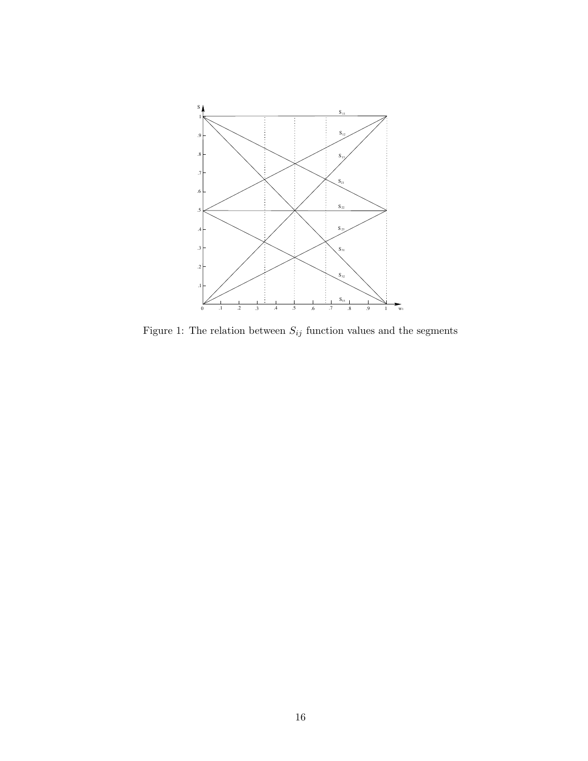

Figure 1: The relation between  ${\cal S}_{ij}$  function values and the segments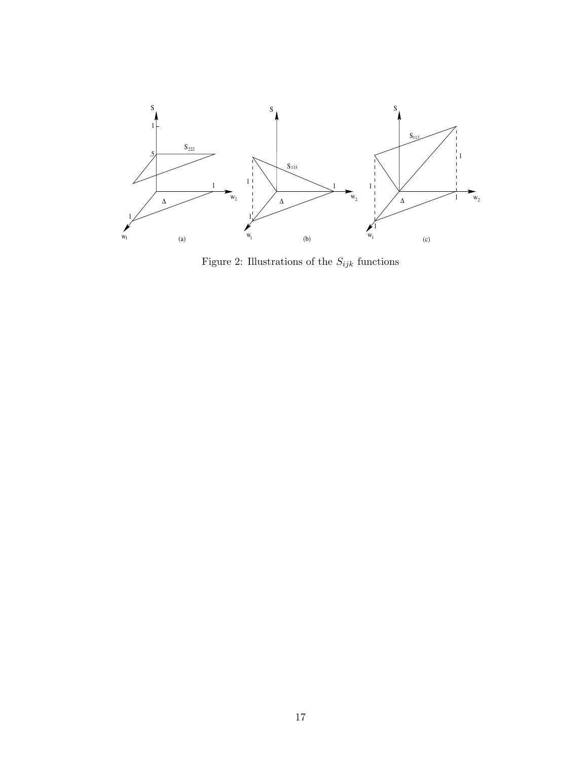

Figure 2: Illustrations of the  ${\cal S}_{ijk}$  functions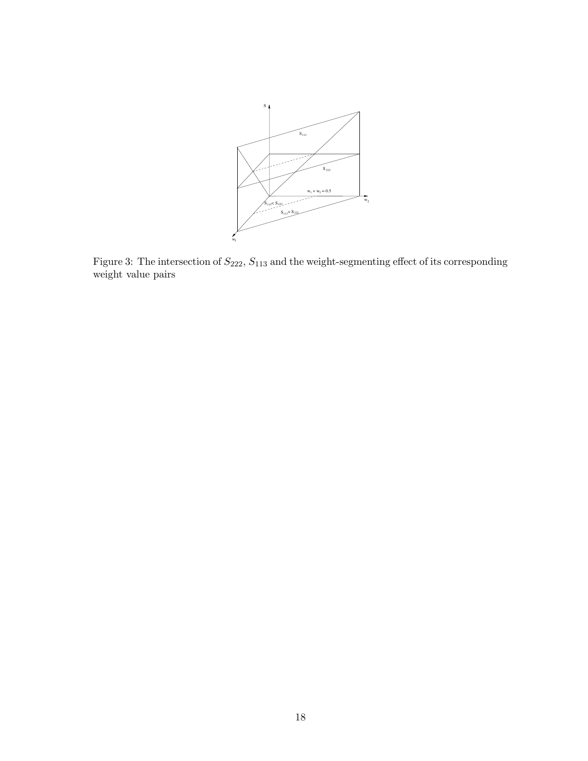

Figure 3: The intersection of  $S_{222}$ ,  $S_{113}$  and the weight-segmenting effect of its corresponding weight value pairs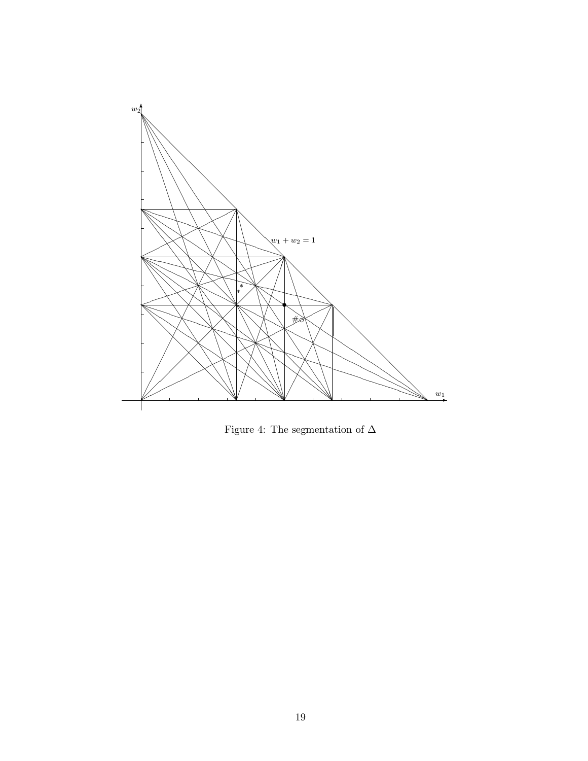

Figure 4: The segmentation of  $\Delta$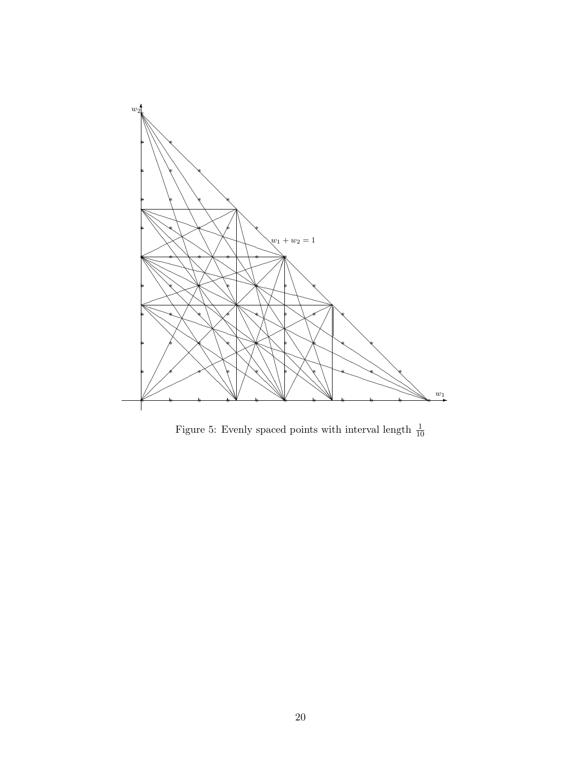

Figure 5: Evenly spaced points with interval length  $\frac{1}{10}$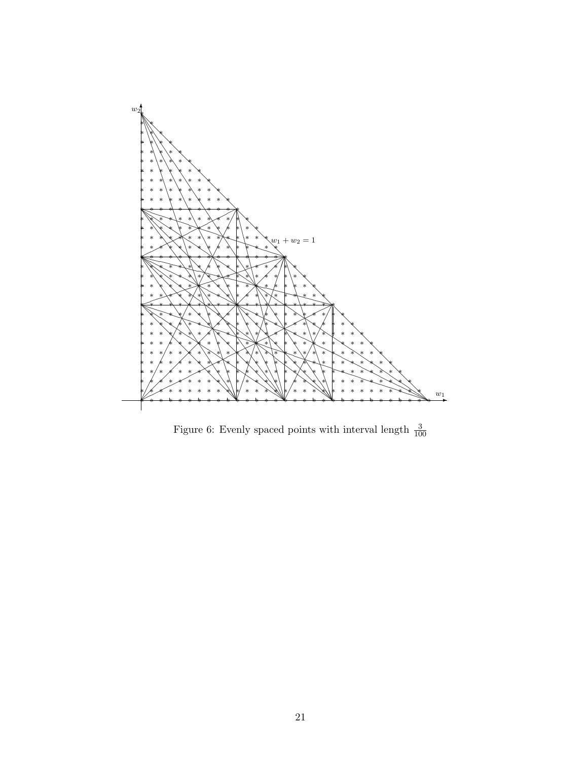

Figure 6: Evenly spaced points with interval length  $\frac{3}{100}$